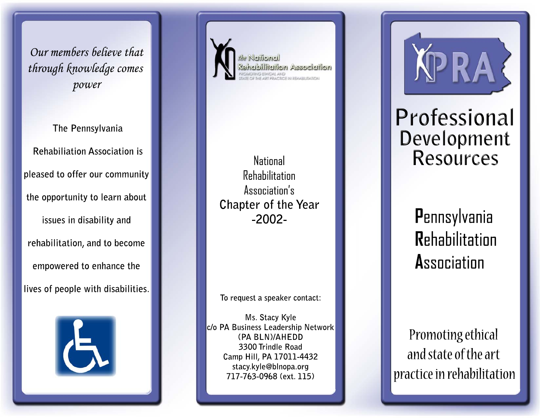Our members believe that through knowledge comes power

The Pennsylvania **Rehabiliation Association is** pleased to offer our community the opportunity to learn about issues in disability and rehabilitation, and to become empowered to enhance the lives of people with disabilities.





**National** Rehabilitation Association's Chapter of the Year  $-2002-$ 

To request a speaker contact:

Ms. Stacy Kyle c/o PA Business Leadership Network (PA BLN)/AHEDD 3300 Trindle Road Camp Hill, PA 17011-4432 stacy.kyle@blnopa.org 717-763-0968 (ext. 115)

Professional Development **Resources** 

> Pennsylvania **Rehabilitation Association**

Promoting ethical and state of the art practice in rehabilitation